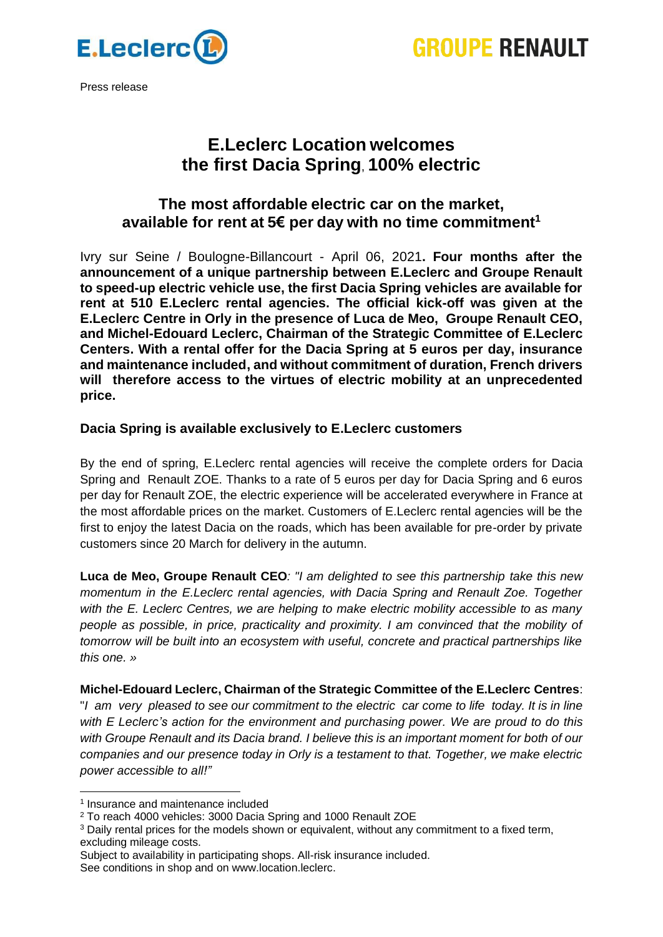



Press release

# **E.Leclerc Location welcomes the first Dacia Spring**, **100% electric**

## **The most affordable electric car on the market, available for rent at 5€ per day with no time commitment<sup>1</sup>**

Ivry sur Seine / Boulogne-Billancourt - April 06, 2021**. Four months after the announcement of a unique partnership between E.Leclerc and Groupe Renault to speed-up electric vehicle use, the first Dacia Spring vehicles are available for rent at 510 E.Leclerc rental agencies. The official kick-off was given at the E.Leclerc Centre in Orly in the presence of Luca de Meo, Groupe Renault CEO, and Michel-Edouard Leclerc, Chairman of the Strategic Committee of E.Leclerc Centers. With a rental offer for the Dacia Spring at 5 euros per day, insurance and maintenance included, and without commitment of duration, French drivers will therefore access to the virtues of electric mobility at an unprecedented price.**

### **Dacia Spring is available exclusively to E.Leclerc customers**

By the end of spring, E.Leclerc rental agencies will receive the complete orders for Dacia Spring and Renault ZOE. Thanks to a rate of 5 euros per day for Dacia Spring and 6 euros per day for Renault ZOE, the electric experience will be accelerated everywhere in France at the most affordable prices on the market. Customers of E.Leclerc rental agencies will be the first to enjoy the latest Dacia on the roads, which has been available for pre-order by private customers since 20 March for delivery in the autumn.

**Luca de Meo, Groupe Renault CEO***: "I am delighted to see this partnership take this new momentum in the E.Leclerc rental agencies, with Dacia Spring and Renault Zoe. Together with the E. Leclerc Centres, we are helping to make electric mobility accessible to as many people as possible, in price, practicality and proximity. I am convinced that the mobility of tomorrow will be built into an ecosystem with useful, concrete and practical partnerships like this one. »*

**Michel-Edouard Leclerc, Chairman of the Strategic Committee of the E.Leclerc Centres**: "*I am very pleased to see our commitment to the electric car come to life today. It is in line with E Leclerc's action for the environment and purchasing power. We are proud to do this with Groupe Renault and its Dacia brand. I believe this is an important moment for both of our companies and our presence today in Orly is a testament to that. Together, we make electric power accessible to all!"*

<sup>1</sup> Insurance and maintenance included

<sup>2</sup> To reach 4000 vehicles: 3000 Dacia Spring and 1000 Renault ZOE

<sup>3</sup> Daily rental prices for the models shown or equivalent, without any commitment to a fixed term, excluding mileage costs.

Subject to availability in participating shops. All-risk insurance included. See conditions in shop and on www.location.leclerc.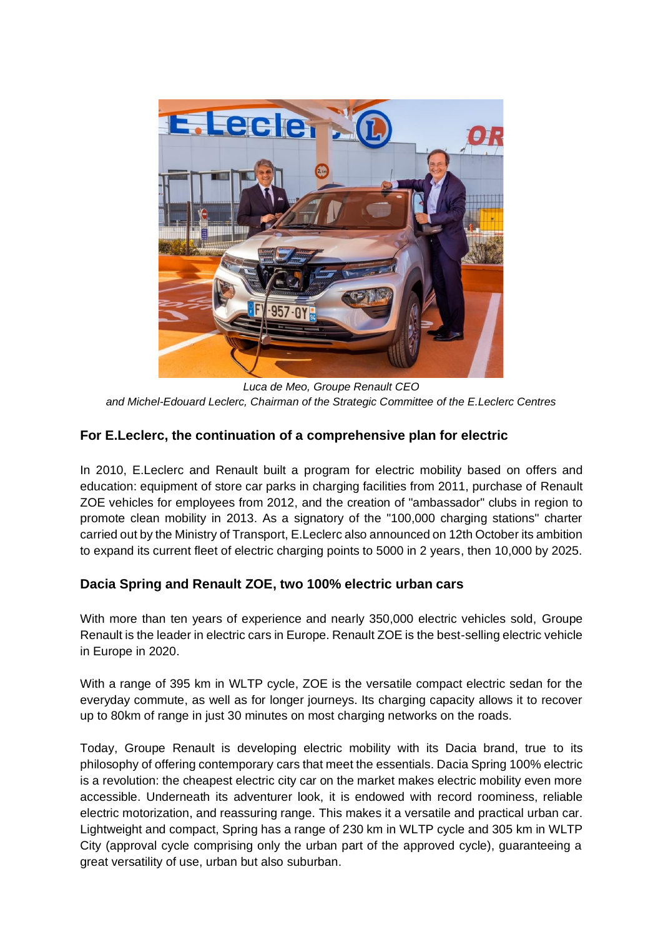

*Luca de Meo, Groupe Renault CEO and Michel-Edouard Leclerc, Chairman of the Strategic Committee of the E.Leclerc Centres*

### **For E.Leclerc, the continuation of a comprehensive plan for electric**

In 2010, E.Leclerc and Renault built a program for electric mobility based on offers and education: equipment of store car parks in charging facilities from 2011, purchase of Renault ZOE vehicles for employees from 2012, and the creation of "ambassador" clubs in region to promote clean mobility in 2013. As a signatory of the "100,000 charging stations" charter carried out by the Ministry of Transport, E.Leclerc also announced on 12th October its ambition to expand its current fleet of electric charging points to 5000 in 2 years, then 10,000 by 2025.

### **Dacia Spring and Renault ZOE, two 100% electric urban cars**

With more than ten years of experience and nearly 350,000 electric vehicles sold, Groupe Renault is the leader in electric cars in Europe. Renault ZOE is the best-selling electric vehicle in Europe in 2020.

With a range of 395 km in WLTP cycle, ZOE is the versatile compact electric sedan for the everyday commute, as well as for longer journeys. Its charging capacity allows it to recover up to 80km of range in just 30 minutes on most charging networks on the roads.

Today, Groupe Renault is developing electric mobility with its Dacia brand, true to its philosophy of offering contemporary cars that meet the essentials. Dacia Spring 100% electric is a revolution: the cheapest electric city car on the market makes electric mobility even more accessible. Underneath its adventurer look, it is endowed with record roominess, reliable electric motorization, and reassuring range. This makes it a versatile and practical urban car. Lightweight and compact, Spring has a range of 230 km in WLTP cycle and 305 km in WLTP City (approval cycle comprising only the urban part of the approved cycle), guaranteeing a great versatility of use, urban but also suburban.